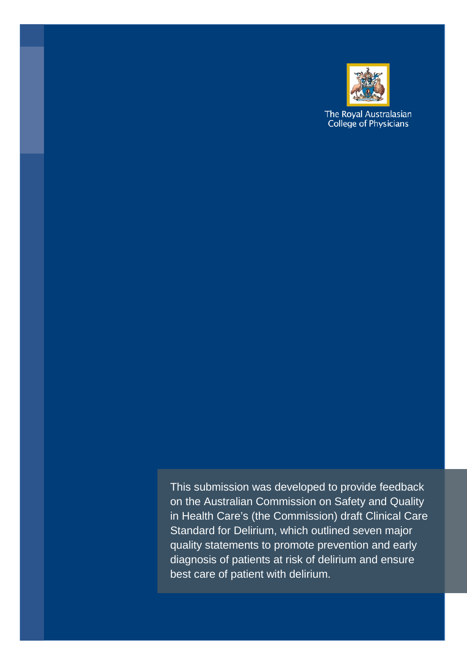

The Royal Australasian College of Physicians

This submission was developed to provide feedback on the Australian Commission on Safety and Quality in Health Care's (the Commission) draft Clinical Care Standard for Delirium, which outlined seven major quality statements to promote prevention and early diagnosis of patients at risk of delirium and ensure best care of patient with delirium.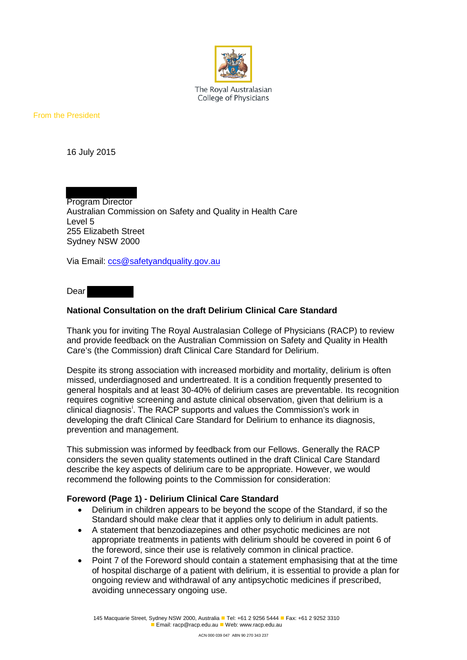

The Roval Australasian College of Physicians

From the President

16 July 2015

Program Director Australian Commission on Safety and Quality in Health Care Level 5 255 Elizabeth Street Sydney NSW 2000

Via Email: [ccs@safetyandquality.gov.au](mailto:ccs@safetyandquality.gov.au)

Dear

### **National Consultation on the draft Delirium Clinical Care Standard**

Thank you for inviting The Royal Australasian College of Physicians (RACP) to review and provide feedback on the Australian Commission on Safety and Quality in Health Care's (the Commission) draft Clinical Care Standard for Delirium.

Despite its strong association with increased morbidity and mortality, delirium is often missed, underdiagnosed and undertreated. It is a condition frequently presented to general hospitals and at least 30-40% of delirium cases are preventable. Its recognition requires cognitive screening and astute clinical observation, given that delirium is a cl[i](#page-3-0)nical diagnosis<sup>i</sup>. The RACP supports and values the Commission's work in developing the draft Clinical Care Standard for Delirium to enhance its diagnosis, prevention and management.

This submission was informed by feedback from our Fellows. Generally the RACP considers the seven quality statements outlined in the draft Clinical Care Standard describe the key aspects of delirium care to be appropriate. However, we would recommend the following points to the Commission for consideration:

### **Foreword (Page 1) - Delirium Clinical Care Standard**

- Delirium in children appears to be beyond the scope of the Standard, if so the Standard should make clear that it applies only to delirium in adult patients.
- A statement that benzodiazepines and other psychotic medicines are not appropriate treatments in patients with delirium should be covered in point 6 of the foreword, since their use is relatively common in clinical practice.
- Point 7 of the Foreword should contain a statement emphasising that at the time of hospital discharge of a patient with delirium, it is essential to provide a plan for ongoing review and withdrawal of any antipsychotic medicines if prescribed, avoiding unnecessary ongoing use.

145 Macquarie Street, Sydney NSW 2000, Australia **Tel: +61 2 9256 5444 Fax: +61 2 9252 3310 Email: racp@racp.edu.au Web: www.racp.edu.au**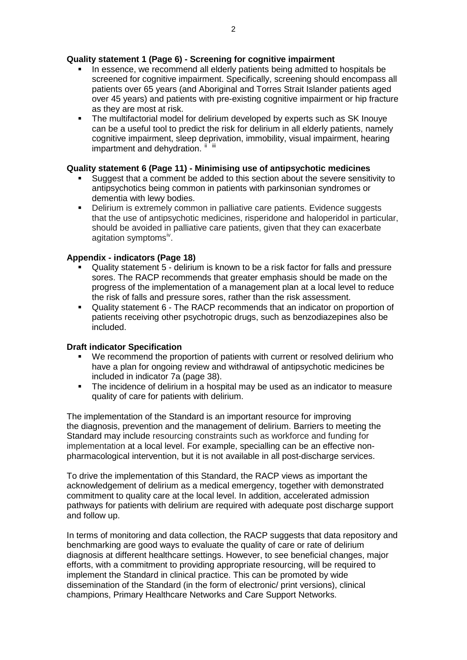## **Quality statement 1 (Page 6) - Screening for cognitive impairment**

- In essence, we recommend all elderly patients being admitted to hospitals be screened for cognitive impairment. Specifically, screening should encompass all patients over 65 years (and Aboriginal and Torres Strait Islander patients aged over 45 years) and patients with pre-existing cognitive impairment or hip fracture as they are most at risk.
- The multifactorial model for delirium developed by experts such as SK Inouye can be a useful tool to predict the risk for delirium in all elderly patients, namely cognitive impairment, sleep deprivation, immobility, visual impairment, hearing impartment and dehydration.  $\mathbb{I}$  [ii](#page-3-1)i

# **Quality statement 6 (Page 11) - Minimising use of antipsychotic medicines**

- Suggest that a comment be added to this section about the severe sensitivity to antipsychotics being common in patients with parkinsonian syndromes or dementia with lewy bodies.
- Delirium is extremely common in palliative care patients. Evidence suggests that the use of antipsychotic medicines, risperidone and haloperidol in particular, should be avoided in palliative care patients, given that they can exacerbate agitation symptoms<sup>[iv](#page-3-3)</sup>.

## **Appendix - indicators (Page 18)**

- Quality statement 5 delirium is known to be a risk factor for falls and pressure sores. The RACP recommends that greater emphasis should be made on the progress of the implementation of a management plan at a local level to reduce the risk of falls and pressure sores, rather than the risk assessment.
- Quality statement 6 The RACP recommends that an indicator on proportion of patients receiving other psychotropic drugs, such as benzodiazepines also be included.

### **Draft indicator Specification**

- We recommend the proportion of patients with current or resolved delirium who have a plan for ongoing review and withdrawal of antipsychotic medicines be included in indicator 7a (page 38).
- The incidence of delirium in a hospital may be used as an indicator to measure quality of care for patients with delirium.

The implementation of the Standard is an important resource for improving the diagnosis, prevention and the management of delirium. Barriers to meeting the Standard may include resourcing constraints such as workforce and funding for implementation at a local level. For example, specialling can be an effective nonpharmacological intervention, but it is not available in all post-discharge services.

To drive the implementation of this Standard, the RACP views as important the acknowledgement of delirium as a medical emergency, together with demonstrated commitment to quality care at the local level. In addition, accelerated admission pathways for patients with delirium are required with adequate post discharge support and follow up.

In terms of monitoring and data collection, the RACP suggests that data repository and benchmarking are good ways to evaluate the quality of care or rate of delirium diagnosis at different healthcare settings. However, to see beneficial changes, major efforts, with a commitment to providing appropriate resourcing, will be required to implement the Standard in clinical practice. This can be promoted by wide dissemination of the Standard (in the form of electronic/ print versions), clinical champions, Primary Healthcare Networks and Care Support Networks.